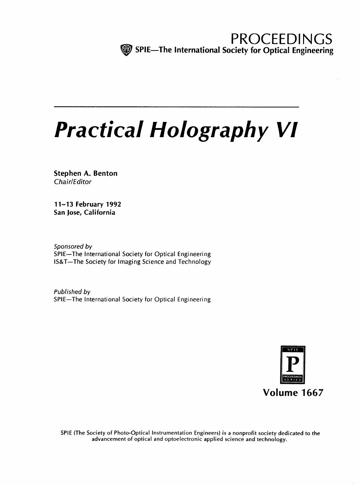# Practical Holography VI

Stephen A. Benton Chair/Editor

11-13 February 1992 San Jose; California

Sponsored by SPIE—The International Society for Optical Engineering IS&T—The Society for Imaging Science and Technology

Published by SPIE—The International Society for Optical Engineering



SPIE (The Society of Photo-Optical Instrumentation Engineers) is <sup>a</sup> nonprofit society dedicated to the advancement of optical and optoelectronic applied science and technology.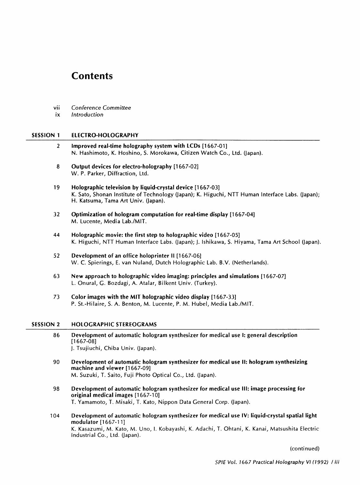# **Contents**

- vii Conference Committee
- ix Introduction

#### SESSION <sup>1</sup> ELECTRO-HOLOGRAPHY

- <sup>2</sup> Improved real-time holography system with LCDs [1667-01] N. Hashimoto, K. Hoshino, S. Morokawa, Citizen Watch Co., Ltd. (Japan).
- 8 Output devices for electro-holography [1667-02] W. P. Parker, Diffraction, Ltd.
- 19 Holographic television by liquid-crystal device [1667-03] K. Sato, Shonan Institute of Technology (Japan); K. Higuchi, NTT Human Interface Labs. (Japan); H. Katsuma, Tama Art Univ. (Japan).
- 32 Optimization of hologram computation for real-time display [1667-04] M. Lucente, Media Lab./MIT.
- 44 Holographic movie: the first step to holographic video [1667-05] K. Higuchi, NTT Human Interface Labs. (Japan); J. Ishikawa, S. Hiyama, Tama Art School (Japan).
- 52 Development of an office holoprinter II [1667-06] W. C. Spierings, E. van Nuland, Dutch Holographic Lab. B.V. (Netherlands).
- <sup>63</sup> New approach to holographic video imaging: principles and simulations [1667-07] L. Onural, G. Bozdagi, A. Atalar, Bilkent Univ. (Turkey).
- 73 Color images with the MIT holographic video display [1667-33] P. St.-Hilaire, S. A. Benton, M. Lucente, P. M. Hubel, Media Lab./MIT.

#### SESSION <sup>2</sup> HOLOGRAPHIC STEREOGRAMS

- 86 Development of automatic hologram synthesizer for medical use 1: general description [1667-08] J. Tsujiuchi, Chiba Univ. (Japan).
- 90 Development of automatic hologram synthesizer for medical use II: hologram synthesizing machine and viewer [1667-09] M. Suzuki, T. Saito, Fuji Photo Optical Co., Ltd. (Japan).
- 98 Development of automatic hologram synthesizer for medical use III: image processing for original medical images [1667-10] T. Yamamoto, T. Misaki, T. Kato, Nippon Data General Corp. (Japan).
- 104 Development of automatic hologram synthesizer for medical use IV: liquid-crystal spatial light modulator [1667-1 1] K. Kasazumi, M. Kato, M. Uno, I. Kobayashi, K. Adachi, T. Ohtani, K. Kanai, Matsushita Electric Industrial Co., Ltd. (Japan).

(continued)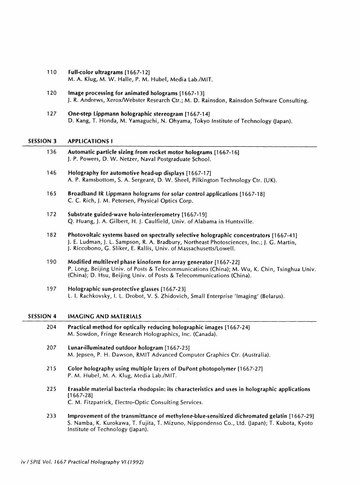- 110 Full-color ultragrams [1667-12] M. A. Klug, M. W. Halle, P. M. Hubel, Media Lab./MIT.
- 120 Image processing for animated holograms [1667-13] J. R. Andrews, Xerox/Webster Research Ctr.; M. D. Rainsdon, Rainsdon Software Consulting.
- 127 One-step Lippmann holographic stereogram [1667-14] D. Kang, T. Honda, M. Yamaguchi, N. Ohyama, Tokyo Institute of Technology (Japan).

#### SESSION 3 APPLICATIONS <sup>1</sup>

| 136 | Automatic particle sizing from rocket motor holograms [1667-16] |
|-----|-----------------------------------------------------------------|
|     | J. P. Powers, D. W. Netzer, Naval Postgraduate School.          |

- 146 Holography for automotive head-up displays [1667-17] A. P. Ramsbottom, S. A. Sergeant, D. W. Sheel, Pilkington Technology Ctr. (UK).
- 165 Broadband IR Lippmann holograms for solar control applications [1667-18] C. C. Rich, J. M. Petersen, Physical Optics Corp.
- 172 Substrate guided-wave holo-interferometry [1667-19] Q. Huang, J. A. Gilbert, H. J. Caulfield, Univ. of Alabama in Huntsville.
- 182 Photovoltaic systems based on spectrally selective holographic concentrators [1667-41] J. E. Ludman, J. L. Sampson, R. A. Bradbury, Northeast Photosciences, Inc.; J. G. Martin, J. Riccobono, G. Sliker, E. Rallis, Univ. of Massachusetts/Lowell.
- 190 Modified multilevel phase kinoform for array generator [1667-22] P. Long, Beijing Univ. of Posts & Telecommunications (China); M. Wu, K. Chin, Tsinghua Univ. (China); D. Hsu, Beijing Univ. of Posts & Telecommunications (China).
- 197 Holographic sun-protective glasses [1667-23] L. I. Rachkovsky, I. L. Drobot, V. S. Zhidovich, Small Enterprise 'Imaging' (Belarus).

## SESSION <sup>4</sup> IMAGING AND MATERIALS

- 204 Practical method for optically reducing holographic images [1667-24] M. Sowdon, Fringe Research Holographies, Inc. (Canada).
- 207 Lunar-illuminated outdoor hologram [1667-25] M. Jepsen, P. H. Dawson, RMIT Advanced Computer Graphics Ctr. (Australia).
- 215 Color holography using multiple layers of DuPont photopolymer [1667-27] P. M. Hubel, M. A. Klug, Media Lab./MIT.
- 225 Erasable material bacteria rhodopsin: its characteristics and uses in holographic applications [1667-28] C. M. Fitzpatrick, Electro-Optic Consulting Services.
- 233 Improvement of the transmittance of methylene-blue-sensitized dichromated gelatin [1667-29] S. Namba, K. Kurokawa, T. Fujita, T. Mizuno, Nippondenso Co., Ltd. (japan); T. Kubota, Kyoto Institute of Technology (Japan).